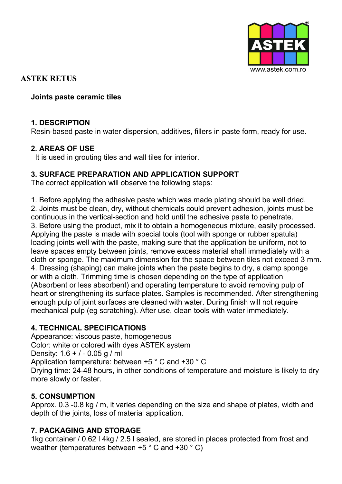

**ASTEK RETUS**

### **Joints paste ceramic tiles**

## **1. DESCRIPTION**

Resin-based paste in water dispersion, additives, fillers in paste form, ready for use.

## **2. AREAS OF USE**

It is used in grouting tiles and wall tiles for interior.

#### **3. SURFACE PREPARATION AND APPLICATION SUPPORT**

The correct application will observe the following steps:

1. Before applying the adhesive paste which was made plating should be well dried. 2. Joints must be clean, dry, without chemicals could prevent adhesion, joints must be continuous in the vertical-section and hold until the adhesive paste to penetrate. 3. Before using the product, mix it to obtain a homogeneous mixture, easily processed. Applying the paste is made with special tools (tool with sponge or rubber spatula) loading joints well with the paste, making sure that the application be uniform, not to leave spaces empty between joints, remove excess material shall immediately with a 4. Dressing (shaping) can make joints when the paste begins to dry, a damp sponge or with a cloth. Trimming time is chosen depending on the type of application (Absorbent or less absorbent) and operating temperature to avoid removing pulp of heart or strengthening its surface plates. Samples is recommended. After strengthening enough pulp of joint surfaces are cleaned with water. During finish will not require mechanical pulp (eg scratching). After use, clean tools with water immediately. cloth or sponge. The maximum dimension for the space between tiles not exceed 3 mm.

# **4. TECHNICAL SPECIFICATIONS**

Appearance: viscous paste, homogeneous Color: white or colored with dyes ASTEK system Density: 1.6 + / - 0.05 g / ml Application temperature: between +5 ° C and +30 ° C Drying time: 24-48 hours, in other conditions of temperature and moisture is likely to dry more slowly or faster.

#### **5. CONSUMPTION**

Approx. 0.3 -0.8 kg / m, it varies depending on the size and shape of plates, width and depth of the joints, loss of material application.

# **7. PACKAGING AND STORAGE**

1kg container / 0.62 l 4kg / 2.5 l sealed, are stored in places protected from frost and weather (temperatures between +5 ° C and +30 ° C)